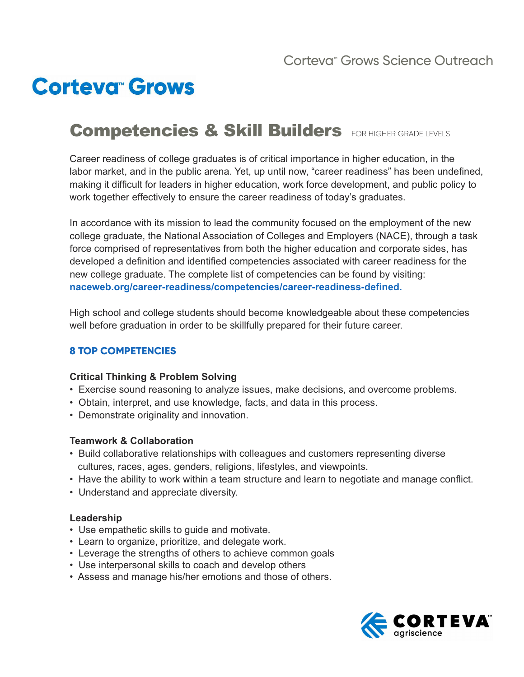# **Corteva<sup>®</sup> Grows**

## Competencies & Skill Builders FOR HIGHER GRADE LEVELS

Career readiness of college graduates is of critical importance in higher education, in the labor market, and in the public arena. Yet, up until now, "career readiness" has been undefined, making it difficult for leaders in higher education, work force development, and public policy to work together effectively to ensure the career readiness of today's graduates.

In accordance with its mission to lead the community focused on the employment of the new college graduate, the National Association of Colleges and Employers (NACE), through a task force comprised of representatives from both the higher education and corporate sides, has developed a definition and identified competencies associated with career readiness for the new college graduate. The complete list of competencies can be found by visiting: **naceweb.org/career-readiness/competencies/career-readiness-defined.**

High school and college students should become knowledgeable about these competencies well before graduation in order to be skillfully prepared for their future career.

### **8 TOP COMPETENCIES**

### **Critical Thinking & Problem Solving**

- Exercise sound reasoning to analyze issues, make decisions, and overcome problems.
- Obtain, interpret, and use knowledge, facts, and data in this process.
- Demonstrate originality and innovation.

#### **Teamwork & Collaboration**

- Build collaborative relationships with colleagues and customers representing diverse cultures, races, ages, genders, religions, lifestyles, and viewpoints.
- Have the ability to work within a team structure and learn to negotiate and manage conflict.
- Understand and appreciate diversity.

#### **Leadership**

- Use empathetic skills to guide and motivate.
- Learn to organize, prioritize, and delegate work.
- Leverage the strengths of others to achieve common goals
- Use interpersonal skills to coach and develop others
- Assess and manage his/her emotions and those of others.